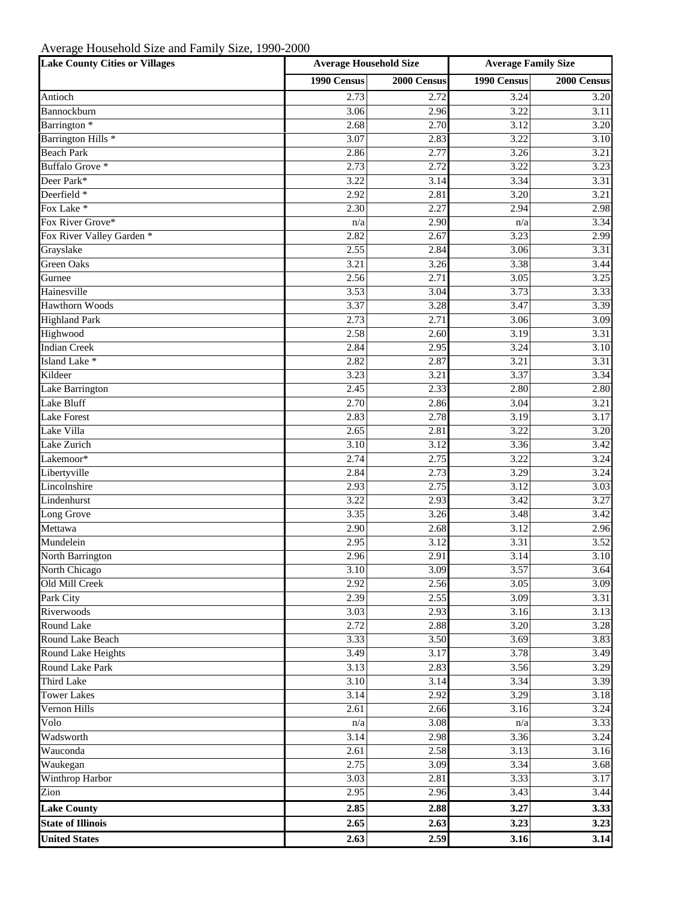## Average Household Size and Family Size, 1990-2000

| <b>Lake County Cities or Villages</b> | <b>Average Household Size</b> |             | <b>Average Family Size</b> |             |
|---------------------------------------|-------------------------------|-------------|----------------------------|-------------|
|                                       | 1990 Census                   | 2000 Census | 1990 Census                | 2000 Census |
| Antioch                               | 2.73                          | 2.72        | 3.24                       | 3.20        |
| Bannockburn                           | 3.06                          | 2.96        | 3.22                       | 3.11        |
| Barrington <sup>*</sup>               | 2.68                          | 2.70        | 3.12                       | 3.20        |
| Barrington Hills <sup>*</sup>         | 3.07                          | 2.83        | 3.22                       | 3.10        |
| <b>Beach Park</b>                     | 2.86                          | 2.77        | 3.26                       | 3.21        |
| Buffalo Grove *                       | 2.73                          | 2.72        | 3.22                       | 3.23        |
| Deer Park*                            | 3.22                          | 3.14        | 3.34                       | 3.31        |
| Deerfield *                           | 2.92                          | 2.81        | 3.20                       | 3.21        |
| Fox Lake *                            | 2.30                          | 2.27        | 2.94                       | 2.98        |
| Fox River Grove*                      | n/a                           | 2.90        | n/a                        | 3.34        |
| Fox River Valley Garden *             | 2.82                          | 2.67        | 3.23                       | 2.99        |
| Grayslake                             | 2.55                          | 2.84        | 3.06                       | 3.31        |
| <b>Green Oaks</b>                     | 3.21                          | 3.26        | 3.38                       | 3.44        |
| Gurnee                                | 2.56                          | 2.71        | 3.05                       | 3.25        |
| Hainesville                           | 3.53                          | 3.04        | 3.73                       | 3.33        |
| <b>Hawthorn Woods</b>                 | 3.37                          | 3.28        | 3.47                       | 3.39        |
| <b>Highland Park</b>                  | 2.73                          | 2.71        | 3.06                       | 3.09        |
| Highwood                              | 2.58                          | 2.60        | 3.19                       | 3.31        |
| <b>Indian Creek</b>                   | 2.84                          | 2.95        | 3.24                       | 3.10        |
| Island Lake *                         | 2.82                          | 2.87        | 3.21                       | 3.31        |
| Kildeer                               | 3.23                          | 3.21        | 3.37                       | 3.34        |
| Lake Barrington                       | 2.45                          | 2.33        | 2.80                       | 2.80        |
| Lake Bluff                            | 2.70                          | 2.86        | 3.04                       | 3.21        |
| <b>Lake Forest</b>                    | 2.83                          | 2.78        | 3.19                       | 3.17        |
| Lake Villa                            | 2.65                          | 2.81        | 3.22                       | 3.20        |
| Lake Zurich                           | 3.10                          | 3.12        | 3.36                       | 3.42        |
| Lakemoor*                             | 2.74                          | 2.75        | 3.22                       | 3.24        |
| Libertyville                          | 2.84                          | 2.73        | 3.29                       | 3.24        |
| Lincolnshire                          | 2.93                          | 2.75        | 3.12                       | 3.03        |
| Lindenhurst                           | 3.22                          | 2.93        | 3.42                       | 3.27        |
| Long Grove                            | 3.35                          | 3.26        | 3.48                       | 3.42        |
| Mettawa                               | 2.90                          | 2.68        | 3.12                       | 2.96        |
| Mundelein                             | 2.95                          | 3.12        | 3.31                       | 3.52        |
| North Barrington                      | 2.96                          | 2.91        | 3.14                       | 3.10        |
| North Chicago                         | 3.10                          | 3.09        | 3.57                       | 3.64        |
| Old Mill Creek                        | 2.92                          | 2.56        | 3.05                       | 3.09        |
| Park City                             | 2.39                          | 2.55        | 3.09                       | 3.31        |
| Riverwoods                            | 3.03                          | 2.93        | 3.16                       | 3.13        |
| Round Lake                            | 2.72                          | 2.88        | 3.20                       | 3.28        |
| Round Lake Beach                      | 3.33                          | 3.50        | 3.69                       | 3.83        |
| Round Lake Heights                    | 3.49                          | 3.17        | 3.78                       | 3.49        |
| <b>Round Lake Park</b>                | 3.13                          | 2.83        | 3.56                       | 3.29        |
| <b>Third Lake</b>                     | 3.10                          | 3.14        | 3.34                       | 3.39        |
| <b>Tower Lakes</b>                    | 3.14                          | 2.92        | 3.29                       | 3.18        |
| Vernon Hills                          | 2.61                          | 2.66        | 3.16                       | 3.24        |
| Volo                                  | n/a                           | 3.08        | n/a                        | 3.33        |
| Wadsworth                             | 3.14                          | 2.98        | 3.36                       | 3.24        |
| Wauconda                              | 2.61                          | 2.58        | 3.13                       | 3.16        |
| Waukegan                              | 2.75                          | 3.09        | 3.34                       | 3.68        |
| Winthrop Harbor                       | 3.03                          | 2.81        | 3.33                       | 3.17        |
| Zion                                  | 2.95                          | 2.96        | 3.43                       | 3.44        |
| <b>Lake County</b>                    | 2.85                          | 2.88        | 3.27                       | 3.33        |
| <b>State of Illinois</b>              | 2.65                          | 2.63        | 3.23                       | 3.23        |
| <b>United States</b>                  | 2.63                          | 2.59        | 3.16                       | 3.14        |